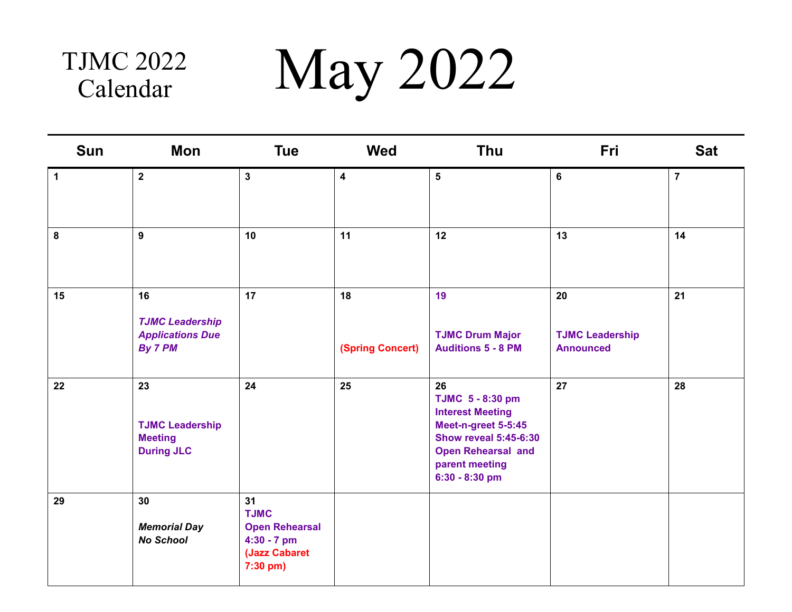## Calendar

TJMC 2022 May 2022

| <b>Sun</b>   | Mon                                                                 | <b>Tue</b>                                                                               | <b>Wed</b>              | Thu                                                                                                                                                                       | Fri                                              | <b>Sat</b>     |
|--------------|---------------------------------------------------------------------|------------------------------------------------------------------------------------------|-------------------------|---------------------------------------------------------------------------------------------------------------------------------------------------------------------------|--------------------------------------------------|----------------|
| $\mathbf{1}$ | $\overline{\mathbf{2}}$                                             | $\mathbf{3}$                                                                             | $\overline{\mathbf{4}}$ | $5\phantom{.0}$                                                                                                                                                           | 6                                                | $\overline{7}$ |
| ${\bf 8}$    | 9                                                                   | 10                                                                                       | 11                      | 12                                                                                                                                                                        | 13                                               | 14             |
| 15           | 16<br><b>TJMC Leadership</b><br><b>Applications Due</b><br>By 7 PM  | 17                                                                                       | 18<br>(Spring Concert)  | 19<br><b>TJMC Drum Major</b><br><b>Auditions 5 - 8 PM</b>                                                                                                                 | 20<br><b>TJMC Leadership</b><br><b>Announced</b> | 21             |
| 22           | 23<br><b>TJMC Leadership</b><br><b>Meeting</b><br><b>During JLC</b> | 24                                                                                       | 25                      | 26<br>TJMC 5 - 8:30 pm<br><b>Interest Meeting</b><br>Meet-n-greet 5-5:45<br><b>Show reveal 5:45-6:30</b><br><b>Open Rehearsal and</b><br>parent meeting<br>6:30 - 8:30 pm | 27                                               | 28             |
| 29           | 30<br><b>Memorial Day</b><br><b>No School</b>                       | 31<br><b>TJMC</b><br><b>Open Rehearsal</b><br>4:30 - 7 pm<br>(Jazz Cabaret<br>$7:30$ pm) |                         |                                                                                                                                                                           |                                                  |                |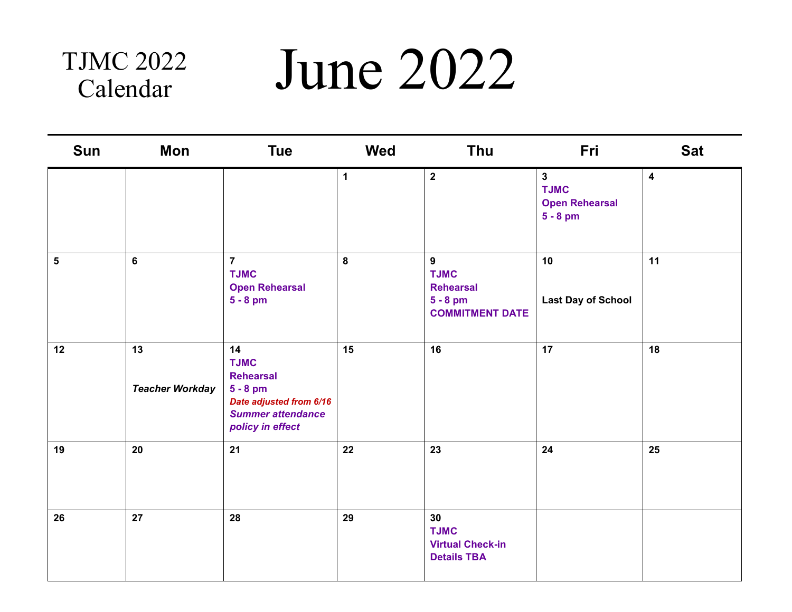## Calendar

### TJMC 2022 June 2022

| Sun | Mon                          | <b>Tue</b>                                                                                                                     | Wed          | Thu                                                                          | Fri                                                                | <b>Sat</b>              |
|-----|------------------------------|--------------------------------------------------------------------------------------------------------------------------------|--------------|------------------------------------------------------------------------------|--------------------------------------------------------------------|-------------------------|
|     |                              |                                                                                                                                | $\mathbf{1}$ | $\overline{2}$                                                               | $\mathbf{3}$<br><b>TJMC</b><br><b>Open Rehearsal</b><br>$5 - 8$ pm | $\overline{\mathbf{4}}$ |
| 5   | $6\phantom{a}$               | $\overline{7}$<br><b>TJMC</b><br><b>Open Rehearsal</b><br>$5 - 8$ pm                                                           | $\pmb{8}$    | 9<br><b>TJMC</b><br><b>Rehearsal</b><br>$5 - 8$ pm<br><b>COMMITMENT DATE</b> | 10<br><b>Last Day of School</b>                                    | 11                      |
| 12  | 13<br><b>Teacher Workday</b> | 14<br><b>TJMC</b><br><b>Rehearsal</b><br>$5 - 8$ pm<br>Date adjusted from 6/16<br><b>Summer attendance</b><br>policy in effect | 15           | 16                                                                           | 17                                                                 | 18                      |
| 19  | 20                           | 21                                                                                                                             | 22           | 23                                                                           | 24                                                                 | 25                      |
| 26  | 27                           | 28                                                                                                                             | 29           | 30<br><b>TJMC</b><br><b>Virtual Check-in</b><br><b>Details TBA</b>           |                                                                    |                         |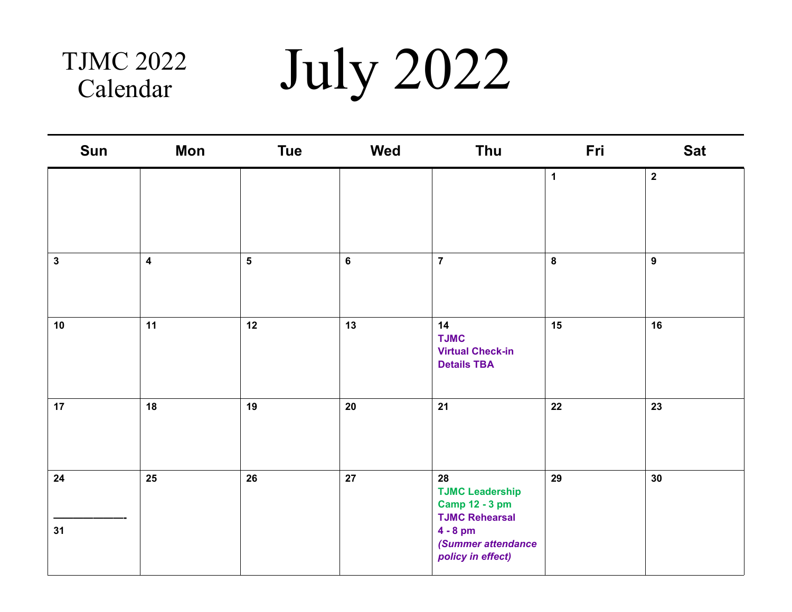## Calendar

TJMC 2022 July 2022

| Sun          | Mon                     | <b>Tue</b>      | <b>Wed</b> | Thu                                                                                                                                     | Fri         | <b>Sat</b>              |
|--------------|-------------------------|-----------------|------------|-----------------------------------------------------------------------------------------------------------------------------------------|-------------|-------------------------|
|              |                         |                 |            |                                                                                                                                         | $\mathbf 1$ | $\overline{\mathbf{2}}$ |
| $\mathbf{3}$ | $\overline{\mathbf{4}}$ | $5\overline{)}$ | $\bf 6$    | $\overline{7}$                                                                                                                          | 8           | $\mathbf{9}$            |
| 10           | 11                      | 12              | 13         | 14<br><b>TJMC</b><br><b>Virtual Check-in</b><br><b>Details TBA</b>                                                                      | 15          | 16                      |
| 17           | 18                      | 19              | $20\,$     | 21                                                                                                                                      | ${\bf 22}$  | 23                      |
| 24<br>31     | $25\phantom{.0}$        | 26              | ${\bf 27}$ | 28<br><b>TJMC Leadership</b><br><b>Camp 12 - 3 pm</b><br><b>TJMC Rehearsal</b><br>$4 - 8$ pm<br>(Summer attendance<br>policy in effect) | 29          | 30                      |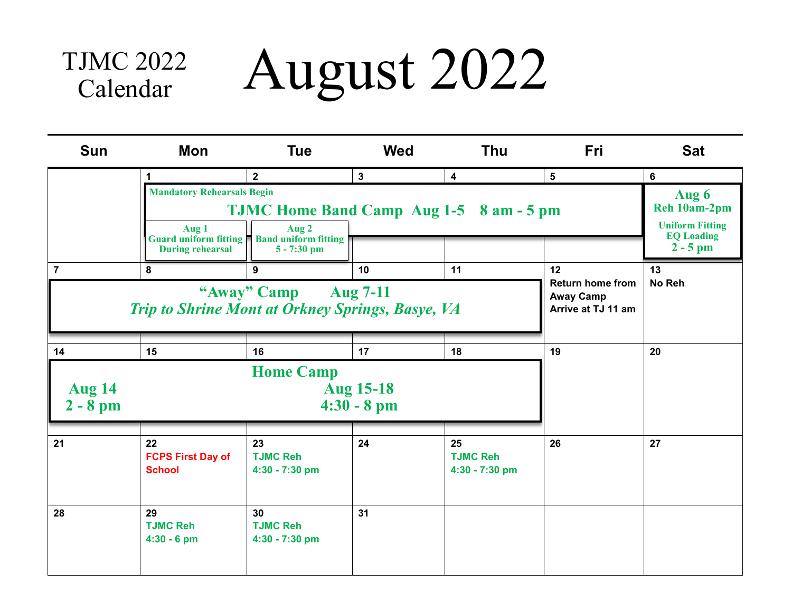#### August 2022 TJMC 2022 Calendar

| <b>Sun</b>                  | Mon                                                                             | <b>Tue</b>                                                                | <b>Wed</b>                                                        | <b>Thu</b>                              | Fri | <b>Sat</b>       |
|-----------------------------|---------------------------------------------------------------------------------|---------------------------------------------------------------------------|-------------------------------------------------------------------|-----------------------------------------|-----|------------------|
|                             | $5\phantom{1}$<br><b>TJMC Home Band Camp Aug 1-5 8 am - 5 pm</b>                | 6<br>Aug 6<br>Reh 10am-2pm<br><b>Uniform Fitting</b><br><b>EQ Loading</b> |                                                                   |                                         |     |                  |
| $\overline{7}$              | Guard uniform fitting<br><b>During rehearsal</b><br>8                           | <b>Band uniform fitting</b><br>$5 - 7:30$ pm<br>9                         | 10                                                                | 11                                      | 12  | $2 - 5$ pm<br>13 |
|                             | "Away" Camp Aug 7-11<br><b>Trip to Shrine Mont at Orkney Springs, Basye, VA</b> |                                                                           | <b>Return home from</b><br><b>Away Camp</b><br>Arrive at TJ 11 am | No Reh                                  |     |                  |
| 14                          | 15                                                                              | 16                                                                        | 17                                                                | 18                                      | 19  | 20               |
| <b>Aug 14</b><br>$2 - 8$ pm |                                                                                 | <b>Home Camp</b><br><b>Aug 15-18</b><br>$4:30 - 8 \text{ pm}$             |                                                                   |                                         |     |                  |
| 21                          | 22<br><b>FCPS First Day of</b><br><b>School</b>                                 | 23<br><b>TJMC Reh</b><br>4:30 - 7:30 pm                                   | 24                                                                | 25<br><b>TJMC Reh</b><br>4:30 - 7:30 pm | 26  | 27               |
| 28                          | 29<br><b>TJMC Reh</b><br>$4:30 - 6$ pm                                          | 30<br><b>TJMC Reh</b><br>4:30 - 7:30 pm                                   | 31                                                                |                                         |     |                  |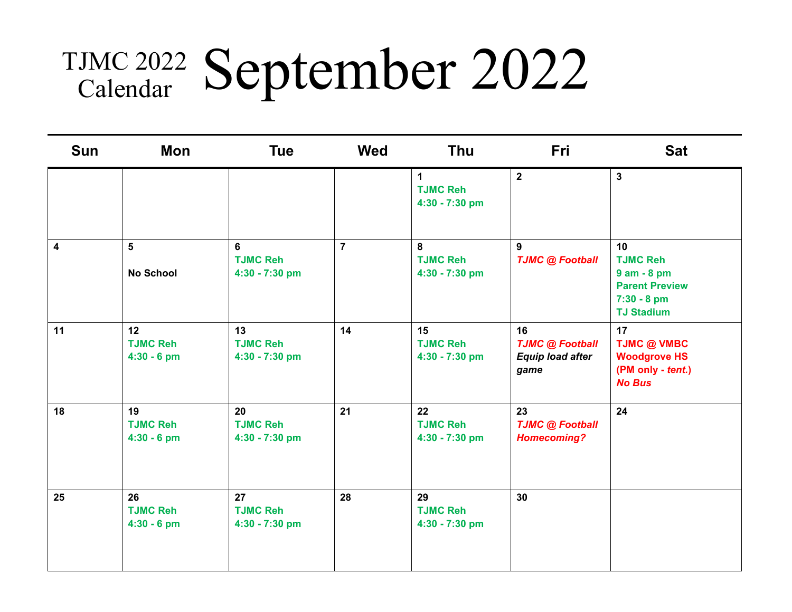# TJMC 2022 September 2022

| Sun                     | Mon                                                 | <b>Tue</b>                              | <b>Wed</b>     | <b>Thu</b>                                       | Fri                                                             | <b>Sat</b>                                                                                             |
|-------------------------|-----------------------------------------------------|-----------------------------------------|----------------|--------------------------------------------------|-----------------------------------------------------------------|--------------------------------------------------------------------------------------------------------|
|                         |                                                     |                                         |                | $\mathbf 1$<br><b>TJMC Reh</b><br>4:30 - 7:30 pm | $\overline{2}$                                                  | $\mathbf{3}$                                                                                           |
| $\overline{\mathbf{4}}$ | 5<br><b>No School</b>                               | 6<br><b>TJMC Reh</b><br>4:30 - 7:30 pm  | $\overline{7}$ | 8<br><b>TJMC Reh</b><br>4:30 - 7:30 pm           | 9<br><b>TJMC @ Football</b>                                     | 10<br><b>TJMC Reh</b><br>$9$ am $-8$ pm<br><b>Parent Preview</b><br>$7:30 - 8$ pm<br><b>TJ Stadium</b> |
| 11                      | 12 <sup>°</sup><br><b>TJMC Reh</b><br>$4:30 - 6$ pm | 13<br><b>TJMC Reh</b><br>4:30 - 7:30 pm | 14             | 15<br><b>TJMC Reh</b><br>4:30 - 7:30 pm          | 16<br><b>TJMC @ Football</b><br><b>Equip load after</b><br>game | 17<br><b>TJMC @ VMBC</b><br><b>Woodgrove HS</b><br>(PM only - tent.)<br><b>No Bus</b>                  |
| 18                      | 19<br><b>TJMC Reh</b><br>$4:30 - 6$ pm              | 20<br><b>TJMC Reh</b><br>4:30 - 7:30 pm | 21             | 22<br><b>TJMC Reh</b><br>4:30 - 7:30 pm          | 23<br><b>TJMC @ Football</b><br><b>Homecoming?</b>              | 24                                                                                                     |
| 25                      | 26<br><b>TJMC Reh</b><br>$4:30 - 6$ pm              | 27<br><b>TJMC Reh</b><br>4:30 - 7:30 pm | 28             | 29<br><b>TJMC Reh</b><br>4:30 - 7:30 pm          | 30                                                              |                                                                                                        |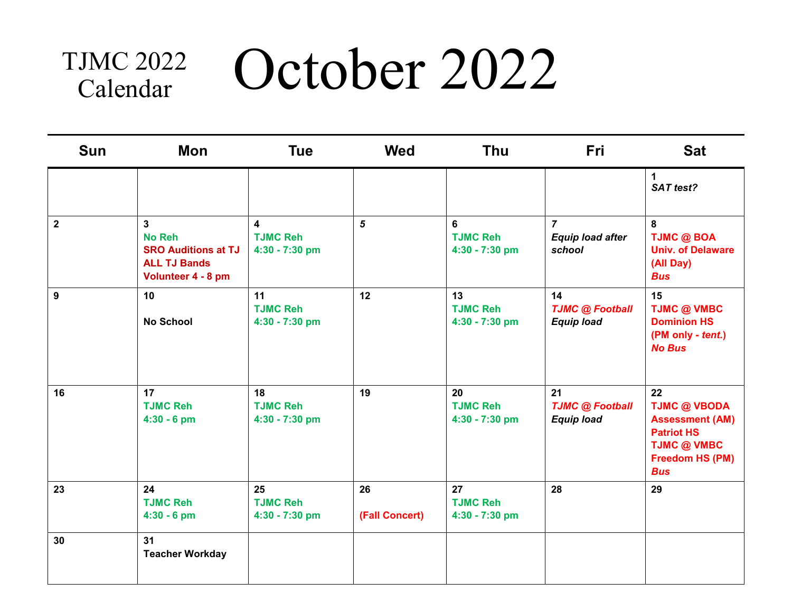### October 2022 TJMC 2022 Calendar

| <b>Sun</b>              | Mon                                                                                           | <b>Tue</b>                              | <b>Wed</b>           | <b>Thu</b>                              | Fri                                                 | <b>Sat</b>                                                                                                                      |
|-------------------------|-----------------------------------------------------------------------------------------------|-----------------------------------------|----------------------|-----------------------------------------|-----------------------------------------------------|---------------------------------------------------------------------------------------------------------------------------------|
|                         |                                                                                               |                                         |                      |                                         |                                                     | $\mathbf{1}$<br>SAT test?                                                                                                       |
| $\overline{\mathbf{2}}$ | 3<br><b>No Reh</b><br><b>SRO Auditions at TJ</b><br><b>ALL TJ Bands</b><br>Volunteer 4 - 8 pm | 4<br><b>TJMC Reh</b><br>4:30 - 7:30 pm  | $\mathbf{5}$         | 6<br><b>TJMC Reh</b><br>4:30 - 7:30 pm  | $\overline{7}$<br><b>Equip load after</b><br>school | 8<br><b>TJMC @ BOA</b><br><b>Univ. of Delaware</b><br>(All Day)<br><b>Bus</b>                                                   |
| $\boldsymbol{9}$        | 10<br><b>No School</b>                                                                        | 11<br><b>TJMC Reh</b><br>4:30 - 7:30 pm | 12                   | 13<br><b>TJMC Reh</b><br>4:30 - 7:30 pm | 14<br><b>TJMC @ Football</b><br><b>Equip load</b>   | 15<br><b>TJMC @ VMBC</b><br><b>Dominion HS</b><br>(PM only - tent.)<br><b>No Bus</b>                                            |
| 16                      | 17<br><b>TJMC Reh</b><br>$4:30 - 6$ pm                                                        | 18<br><b>TJMC Reh</b><br>4:30 - 7:30 pm | 19                   | 20<br><b>TJMC Reh</b><br>4:30 - 7:30 pm | 21<br><b>TJMC @ Football</b><br><b>Equip load</b>   | 22<br><b>TJMC @ VBODA</b><br><b>Assessment (AM)</b><br><b>Patriot HS</b><br><b>TJMC @ VMBC</b><br>Freedom HS (PM)<br><b>Bus</b> |
| 23                      | 24<br><b>TJMC Reh</b><br>$4:30 - 6$ pm                                                        | 25<br><b>TJMC Reh</b><br>4:30 - 7:30 pm | 26<br>(Fall Concert) | 27<br><b>TJMC Reh</b><br>4:30 - 7:30 pm | 28                                                  | 29                                                                                                                              |
| 30                      | 31<br><b>Teacher Workday</b>                                                                  |                                         |                      |                                         |                                                     |                                                                                                                                 |